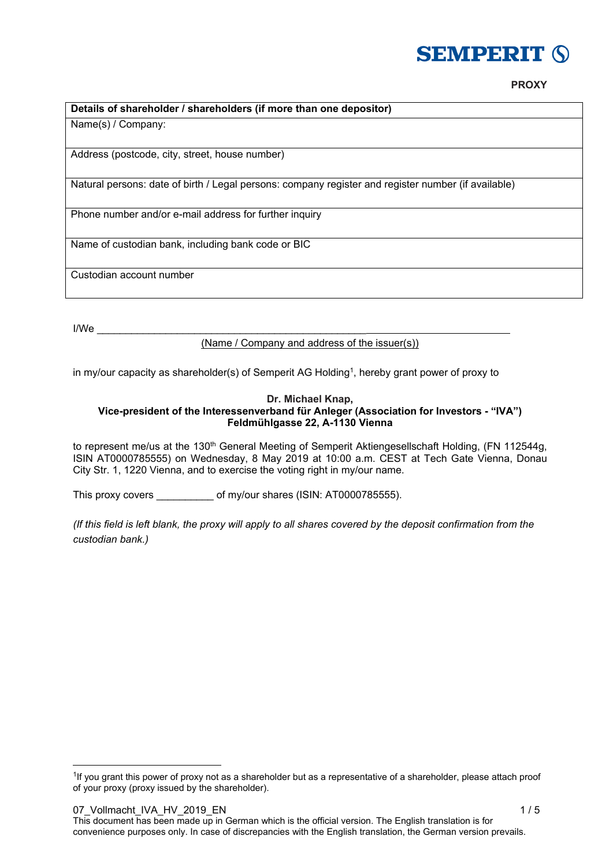# **SEMPERIT 6**

# **Details of shareholder / shareholders (if more than one depositor)**

Name(s) / Company:

Address (postcode, city, street, house number)

Natural persons: date of birth / Legal persons: company register and register number (if available)

Phone number and/or e-mail address for further inquiry

Name of custodian bank, including bank code or BIC

Custodian account number

I/We \_\_\_\_\_\_\_\_\_\_\_\_\_\_\_\_\_\_\_\_\_\_\_\_\_\_\_\_\_\_\_\_\_\_\_\_\_\_\_\_\_\_\_\_\_\_\_

-

(Name / Company and address of the issuer(s))

in my/our capacity as shareholder(s) of Semperit AG Holding1, hereby grant power of proxy to

#### **Dr. Michael Knap, Vice-president of the Interessenverband für Anleger (Association for Investors - "IVA") Feldmühlgasse 22, A-1130 Vienna**

to represent me/us at the 130<sup>th</sup> General Meeting of Semperit Aktiengesellschaft Holding, (FN 112544g, ISIN AT0000785555) on Wednesday, 8 May 2019 at 10:00 a.m. CEST at Tech Gate Vienna, Donau City Str. 1, 1220 Vienna, and to exercise the voting right in my/our name.

This proxy covers \_\_\_\_\_\_\_\_\_\_\_\_\_ of my/our shares (ISIN: AT0000785555).

*(If this field is left blank, the proxy will apply to all shares covered by the deposit confirmation from the custodian bank.)* 

07 Vollmacht IVA\_HV\_2019\_EN 1 / 5 This document has been made up in German which is the official version. The English translation is for convenience purposes only. In case of discrepancies with the English translation, the German version prevails.

<sup>&</sup>lt;sup>1</sup>If you grant this power of proxy not as a shareholder but as a representative of a shareholder, please attach proof of your proxy (proxy issued by the shareholder).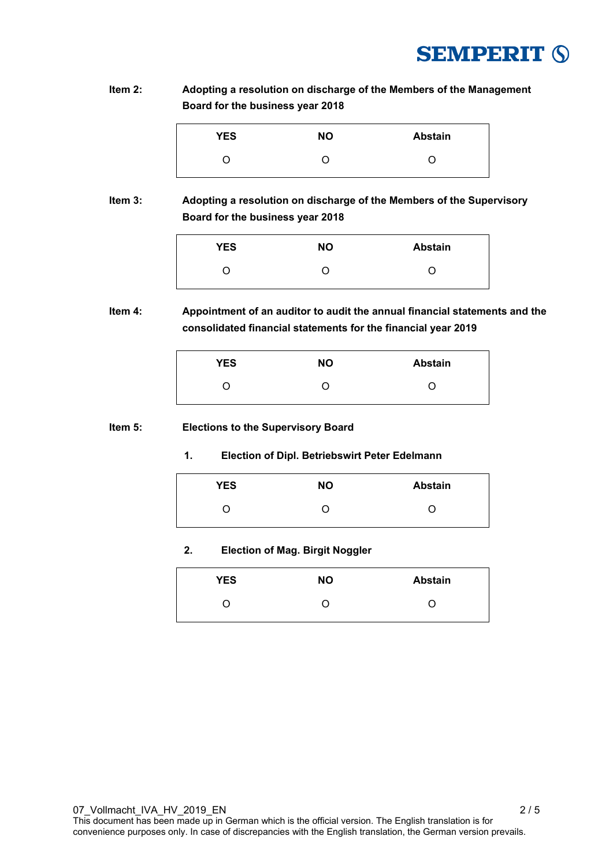

**Item 2: Adopting a resolution on discharge of the Members of the Management Board for the business year 2018** 

| <b>YES</b> | <b>NO</b> | <b>Abstain</b> |
|------------|-----------|----------------|
|            |           |                |

**Item 3: Adopting a resolution on discharge of the Members of the Supervisory Board for the business year 2018** 

|  | 0 |
|--|---|

**Item 4: Appointment of an auditor to audit the annual financial statements and the consolidated financial statements for the financial year 2019** 

| <b>YES</b> | ΝO | <b>Abstain</b> |
|------------|----|----------------|
| ( )        | O) | ו              |

#### **Item 5: Elections to the Supervisory Board**

**1. Election of Dipl. Betriebswirt Peter Edelmann** 

| <b>YES</b> | <b>NO</b> | <b>Abstain</b> |
|------------|-----------|----------------|
|            |           |                |

# **2. Election of Mag. Birgit Noggler**

| <b>YES</b> | <b>NO</b> | <b>Abstain</b> |
|------------|-----------|----------------|
|            | O         | ( )            |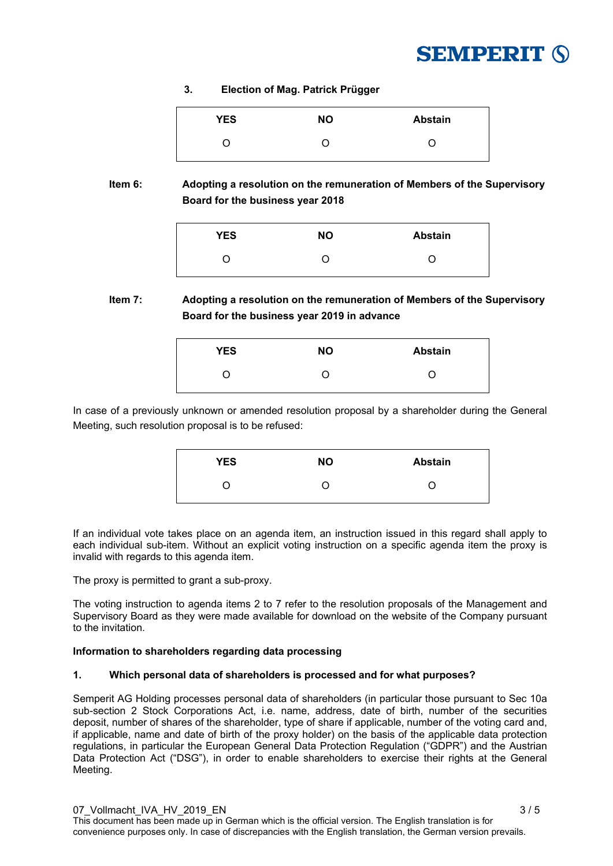

**3. Election of Mag. Patrick Prügger** 

| <b>YES</b> | ΝO | <b>Abstain</b> |
|------------|----|----------------|
|            | O  |                |

**Item 6: Adopting a resolution on the remuneration of Members of the Supervisory Board for the business year 2018** 

| <b>YES</b> | <b>NO</b> | <b>Abstain</b> |
|------------|-----------|----------------|
|            |           |                |

# **Item 7: Adopting a resolution on the remuneration of Members of the Supervisory Board for the business year 2019 in advance**

| <b>YES</b> | <b>NO</b> | <b>Abstain</b> |
|------------|-----------|----------------|
|            |           |                |

In case of a previously unknown or amended resolution proposal by a shareholder during the General Meeting, such resolution proposal is to be refused:

| <b>YES</b> | <b>NO</b> | <b>Abstain</b> |
|------------|-----------|----------------|
|            |           |                |

If an individual vote takes place on an agenda item, an instruction issued in this regard shall apply to each individual sub-item. Without an explicit voting instruction on a specific agenda item the proxy is invalid with regards to this agenda item.

The proxy is permitted to grant a sub-proxy.

The voting instruction to agenda items 2 to 7 refer to the resolution proposals of the Management and Supervisory Board as they were made available for download on the website of the Company pursuant to the invitation.

# **Information to shareholders regarding data processing**

# **1. Which personal data of shareholders is processed and for what purposes?**

Semperit AG Holding processes personal data of shareholders (in particular those pursuant to Sec 10a sub-section 2 Stock Corporations Act, i.e. name, address, date of birth, number of the securities deposit, number of shares of the shareholder, type of share if applicable, number of the voting card and, if applicable, name and date of birth of the proxy holder) on the basis of the applicable data protection regulations, in particular the European General Data Protection Regulation ("GDPR") and the Austrian Data Protection Act ("DSG"), in order to enable shareholders to exercise their rights at the General Meeting.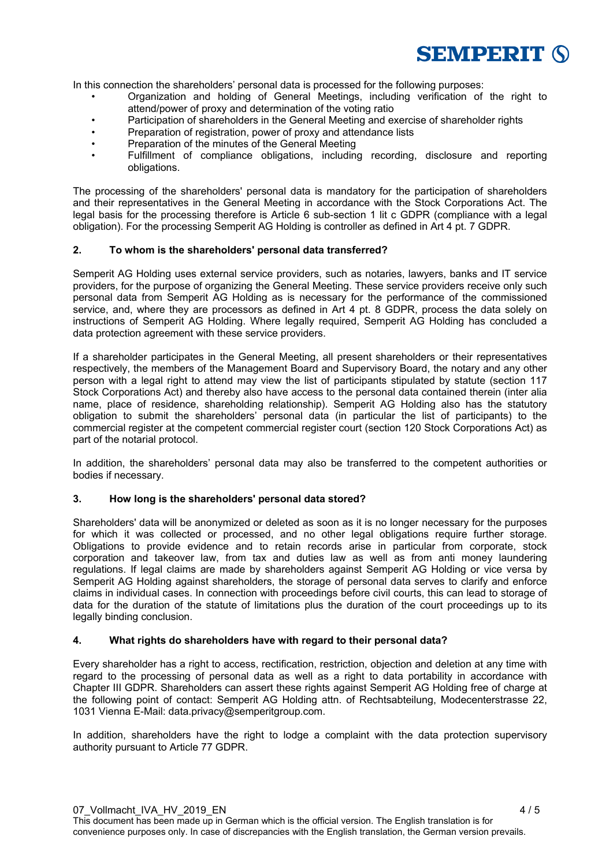

In this connection the shareholders' personal data is processed for the following purposes:

- Organization and holding of General Meetings, including verification of the right to attend/power of proxy and determination of the voting ratio
- Participation of shareholders in the General Meeting and exercise of shareholder rights
- Preparation of registration, power of proxy and attendance lists
- Preparation of the minutes of the General Meeting
- Fulfillment of compliance obligations, including recording, disclosure and reporting obligations.

The processing of the shareholders' personal data is mandatory for the participation of shareholders and their representatives in the General Meeting in accordance with the Stock Corporations Act. The legal basis for the processing therefore is Article 6 sub-section 1 lit c GDPR (compliance with a legal obligation). For the processing Semperit AG Holding is controller as defined in Art 4 pt. 7 GDPR.

### **2. To whom is the shareholders' personal data transferred?**

Semperit AG Holding uses external service providers, such as notaries, lawyers, banks and IT service providers, for the purpose of organizing the General Meeting. These service providers receive only such personal data from Semperit AG Holding as is necessary for the performance of the commissioned service, and, where they are processors as defined in Art 4 pt. 8 GDPR, process the data solely on instructions of Semperit AG Holding. Where legally required, Semperit AG Holding has concluded a data protection agreement with these service providers.

If a shareholder participates in the General Meeting, all present shareholders or their representatives respectively, the members of the Management Board and Supervisory Board, the notary and any other person with a legal right to attend may view the list of participants stipulated by statute (section 117 Stock Corporations Act) and thereby also have access to the personal data contained therein (inter alia name, place of residence, shareholding relationship). Semperit AG Holding also has the statutory obligation to submit the shareholders' personal data (in particular the list of participants) to the commercial register at the competent commercial register court (section 120 Stock Corporations Act) as part of the notarial protocol.

In addition, the shareholders' personal data may also be transferred to the competent authorities or bodies if necessary.

### **3. How long is the shareholders' personal data stored?**

Shareholders' data will be anonymized or deleted as soon as it is no longer necessary for the purposes for which it was collected or processed, and no other legal obligations require further storage. Obligations to provide evidence and to retain records arise in particular from corporate, stock corporation and takeover law, from tax and duties law as well as from anti money laundering regulations. If legal claims are made by shareholders against Semperit AG Holding or vice versa by Semperit AG Holding against shareholders, the storage of personal data serves to clarify and enforce claims in individual cases. In connection with proceedings before civil courts, this can lead to storage of data for the duration of the statute of limitations plus the duration of the court proceedings up to its legally binding conclusion.

### **4. What rights do shareholders have with regard to their personal data?**

Every shareholder has a right to access, rectification, restriction, objection and deletion at any time with regard to the processing of personal data as well as a right to data portability in accordance with Chapter III GDPR. Shareholders can assert these rights against Semperit AG Holding free of charge at the following point of contact: Semperit AG Holding attn. of Rechtsabteilung, Modecenterstrasse 22, 1031 Vienna E-Mail: data.privacy@semperitgroup.com.

In addition, shareholders have the right to lodge a complaint with the data protection supervisory authority pursuant to Article 77 GDPR.